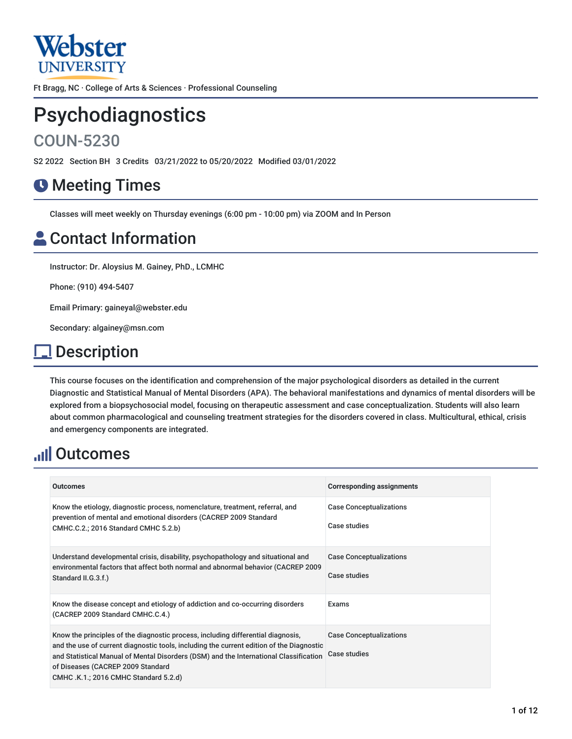

Ft Bragg, NC · College of Arts & Sciences · Professional Counseling

# Psychodiagnostics

# COUN-5230

S2 2022 Section BH 3 Credits 03/21/2022 to 05/20/2022 Modified 03/01/2022

# **O** Meeting Times

Classes will meet weekly on Thursday evenings (6:00 pm - 10:00 pm) via ZOOM and In Person

# **Contact Information**

Instructor: Dr. Aloysius M. Gainey, PhD., LCMHC

Phone: (910) 494-5407

Email Primary: gaineyal@webster.edu

Secondary: algainey@msn.com

# **Description**

This course focuses on the identification and comprehension of the major psychological disorders as detailed in the current Diagnostic and Statistical Manual of Mental Disorders (APA). The behavioral manifestations and dynamics of mental disorders will be explored from a biopsychosocial model, focusing on therapeutic assessment and case conceptualization. Students will also learn about common pharmacological and counseling treatment strategies for the disorders covered in class. Multicultural, ethical, crisis and emergency components are integrated.

# **Juli Outcomes**

| <b>Outcomes</b>                                                                                                                                                                                                                                                                                                                                     | <b>Corresponding assignments</b>               |
|-----------------------------------------------------------------------------------------------------------------------------------------------------------------------------------------------------------------------------------------------------------------------------------------------------------------------------------------------------|------------------------------------------------|
| Know the etiology, diagnostic process, nomenclature, treatment, referral, and<br>prevention of mental and emotional disorders (CACREP 2009 Standard<br>CMHC.C.2.; 2016 Standard CMHC 5.2.b)                                                                                                                                                         | <b>Case Conceptualizations</b><br>Case studies |
| Understand developmental crisis, disability, psychopathology and situational and<br>environmental factors that affect both normal and abnormal behavior (CACREP 2009<br>Standard II.G.3.f.)                                                                                                                                                         | <b>Case Conceptualizations</b><br>Case studies |
| Know the disease concept and etiology of addiction and co-occurring disorders<br>(CACREP 2009 Standard CMHC.C.4.)                                                                                                                                                                                                                                   | Exams                                          |
| Know the principles of the diagnostic process, including differential diagnosis,<br>and the use of current diagnostic tools, including the current edition of the Diagnostic<br>and Statistical Manual of Mental Disorders (DSM) and the International Classification<br>of Diseases (CACREP 2009 Standard<br>CMHC .K.1.; 2016 CMHC Standard 5.2.d) | <b>Case Conceptualizations</b><br>Case studies |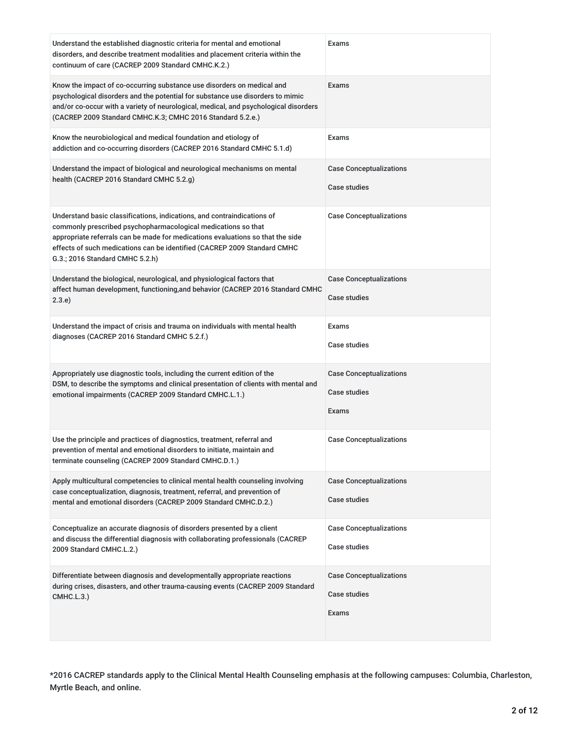| Understand the established diagnostic criteria for mental and emotional<br>disorders, and describe treatment modalities and placement criteria within the<br>continuum of care (CACREP 2009 Standard CMHC.K.2.)                                                                                                                           | Exams                                                          |
|-------------------------------------------------------------------------------------------------------------------------------------------------------------------------------------------------------------------------------------------------------------------------------------------------------------------------------------------|----------------------------------------------------------------|
| Know the impact of co-occurring substance use disorders on medical and<br>psychological disorders and the potential for substance use disorders to mimic<br>and/or co-occur with a variety of neurological, medical, and psychological disorders<br>(CACREP 2009 Standard CMHC.K.3; CMHC 2016 Standard 5.2.e.)                            | Exams                                                          |
| Know the neurobiological and medical foundation and etiology of<br>addiction and co-occurring disorders (CACREP 2016 Standard CMHC 5.1.d)                                                                                                                                                                                                 | Exams                                                          |
| Understand the impact of biological and neurological mechanisms on mental<br>health (CACREP 2016 Standard CMHC 5.2.g)                                                                                                                                                                                                                     | <b>Case Conceptualizations</b><br><b>Case studies</b>          |
| Understand basic classifications, indications, and contraindications of<br>commonly prescribed psychopharmacological medications so that<br>appropriate referrals can be made for medications evaluations so that the side<br>effects of such medications can be identified (CACREP 2009 Standard CMHC<br>G.3.; 2016 Standard CMHC 5.2.h) | <b>Case Conceptualizations</b>                                 |
| Understand the biological, neurological, and physiological factors that<br>affect human development, functioning, and behavior (CACREP 2016 Standard CMHC<br>2.3.e)                                                                                                                                                                       | <b>Case Conceptualizations</b><br><b>Case studies</b>          |
| Understand the impact of crisis and trauma on individuals with mental health<br>diagnoses (CACREP 2016 Standard CMHC 5.2.f.)                                                                                                                                                                                                              | Exams<br><b>Case studies</b>                                   |
| Appropriately use diagnostic tools, including the current edition of the<br>DSM, to describe the symptoms and clinical presentation of clients with mental and<br>emotional impairments (CACREP 2009 Standard CMHC.L.1.)                                                                                                                  | <b>Case Conceptualizations</b><br>Case studies<br>Exams        |
| Use the principle and practices of diagnostics, treatment, referral and<br>prevention of mental and emotional disorders to initiate, maintain and<br>terminate counseling (CACREP 2009 Standard CMHC.D.1.)                                                                                                                                | <b>Case Conceptualizations</b>                                 |
| Apply multicultural competencies to clinical mental health counseling involving<br>case conceptualization, diagnosis, treatment, referral, and prevention of<br>mental and emotional disorders (CACREP 2009 Standard CMHC.D.2.)                                                                                                           | <b>Case Conceptualizations</b><br><b>Case studies</b>          |
| Conceptualize an accurate diagnosis of disorders presented by a client<br>and discuss the differential diagnosis with collaborating professionals (CACREP<br>2009 Standard CMHC.L.2.)                                                                                                                                                     | <b>Case Conceptualizations</b><br><b>Case studies</b>          |
| Differentiate between diagnosis and developmentally appropriate reactions<br>during crises, disasters, and other trauma-causing events (CACREP 2009 Standard<br>CMHC.L.3.)                                                                                                                                                                | <b>Case Conceptualizations</b><br><b>Case studies</b><br>Exams |

\*2016 CACREP standards apply to the Clinical Mental Health Counseling emphasis at the following campuses: Columbia, Charleston, Myrtle Beach, and online.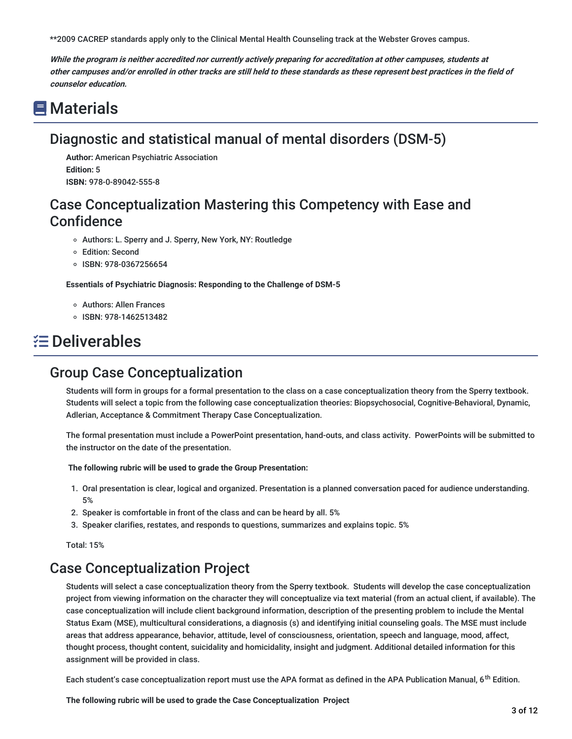\*\*2009 CACREP standards apply only to the Clinical Mental Health Counseling track at the Webster Groves campus.

While the program is neither accredited nor currently actively preparing for accreditation at other campuses, students at other campuses and/or enrolled in other tracks are still held to these standards as these represent best practices in the field of **counselor education.**

# **■** Materials

## Diagnostic and statistical manual of mental disorders (DSM-5)

**Author:** American Psychiatric Association **Edition:** 5 **ISBN:** 978-0-89042-555-8

### Case Conceptualization Mastering this Competency with Ease and **Confidence**

- o Authors: L. Sperry and J. Sperry, New York, NY: Routledge
- Edition: Second
- ISBN: 978-0367256654

**Essentials of Psychiatric Diagnosis: Responding to the Challenge of DSM-5**

- Authors: Allen Frances
- ISBN: 978-1462513482

# **E** Deliverables

### Group Case Conceptualization

Students will form in groups for a formal presentation to the class on a case conceptualization theory from the Sperry textbook. Students will select a topic from the following case conceptualization theories: Biopsychosocial, Cognitive-Behavioral, Dynamic, Adlerian, Acceptance & Commitment Therapy Case Conceptualization.

The formal presentation must include a PowerPoint presentation, hand-outs, and class activity. PowerPoints will be submitted to the instructor on the date of the presentation.

#### **The following rubric will be used to grade the Group Presentation:**

- 1. Oral presentation is clear, logical and organized. Presentation is a planned conversation paced for audience understanding. 5%
- 2. Speaker is comfortable in front of the class and can be heard by all. 5%
- 3. Speaker clarifies, restates, and responds to questions, summarizes and explains topic. 5%

Total: 15%

### Case Conceptualization Project

Students will select a case conceptualization theory from the Sperry textbook. Students will develop the case conceptualization project from viewing information on the character they will conceptualize via text material (from an actual client, if available). The case conceptualization will include client background information, description of the presenting problem to include the Mental Status Exam (MSE), multicultural considerations, a diagnosis (s) and identifying initial counseling goals. The MSE must include areas that address appearance, behavior, attitude, level of consciousness, orientation, speech and language, mood, affect, thought process, thought content, suicidality and homicidality, insight and judgment. Additional detailed information for this assignment will be provided in class.

Each student's case conceptualization report must use the APA format as defined in the APA Publication Manual, 6<sup>th</sup> Edition.

**The following rubric will be used to grade the Case Conceptualization Project**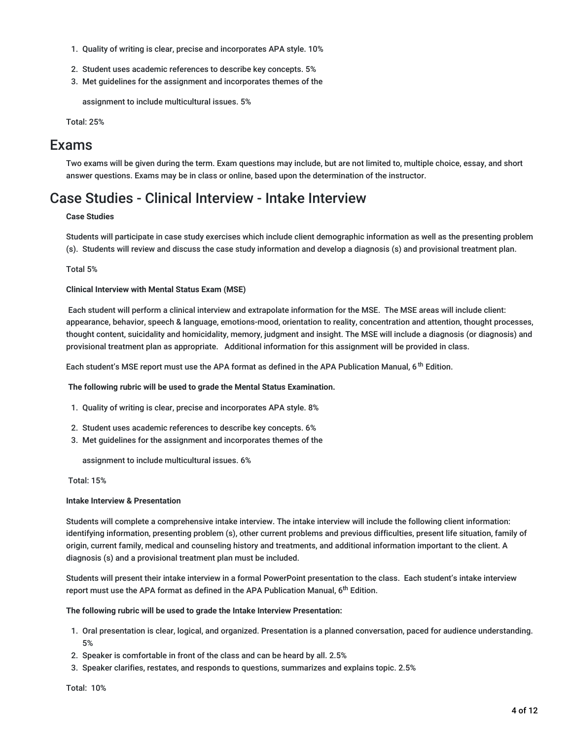- 1. Quality of writing is clear, precise and incorporates APA style. 10%
- 2. Student uses academic references to describe key concepts. 5%
- 3. Met guidelines for the assignment and incorporates themes of the

assignment to include multicultural issues. 5%

Total: 25%

### Exams

Two exams will be given during the term. Exam questions may include, but are not limited to, multiple choice, essay, and short answer questions. Exams may be in class or online, based upon the determination of the instructor.

### Case Studies - Clinical Interview - Intake Interview

#### **Case Studies**

Students will participate in case study exercises which include client demographic information as well as the presenting problem (s). Students will review and discuss the case study information and develop a diagnosis (s) and provisional treatment plan.

#### Total 5%

#### **Clinical Interview with Mental Status Exam (MSE)**

Each student will perform a clinical interview and extrapolate information for the MSE. The MSE areas will include client: appearance, behavior, speech & language, emotions-mood, orientation to reality, concentration and attention, thought processes, thought content, suicidality and homicidality, memory, judgment and insight. The MSE will include a diagnosis (or diagnosis) and provisional treatment plan as appropriate. Additional information for this assignment will be provided in class.

Each student's MSE report must use the APA format as defined in the APA Publication Manual, 6<sup>th</sup> Edition.

**The following rubric will be used to grade the Mental Status Examination.**

- 1. Quality of writing is clear, precise and incorporates APA style. 8%
- 2. Student uses academic references to describe key concepts. 6%
- 3. Met guidelines for the assignment and incorporates themes of the

assignment to include multicultural issues. 6%

#### Total: 15%

#### **Intake Interview & Presentation**

Students will complete a comprehensive intake interview. The intake interview will include the following client information: identifying information, presenting problem (s), other current problems and previous difficulties, present life situation, family of origin, current family, medical and counseling history and treatments, and additional information important to the client. A diagnosis (s) and a provisional treatment plan must be included.

Students will present their intake interview in a formal PowerPoint presentation to the class. Each student's intake interview report must use the APA format as defined in the APA Publication Manual, 6<sup>th</sup> Edition.

#### **The following rubric will be used to grade the Intake Interview Presentation:**

- 1. Oral presentation is clear, logical, and organized. Presentation is a planned conversation, paced for audience understanding. 5%
- 2. Speaker is comfortable in front of the class and can be heard by all. 2.5%
- 3. Speaker clarifies, restates, and responds to questions, summarizes and explains topic. 2.5%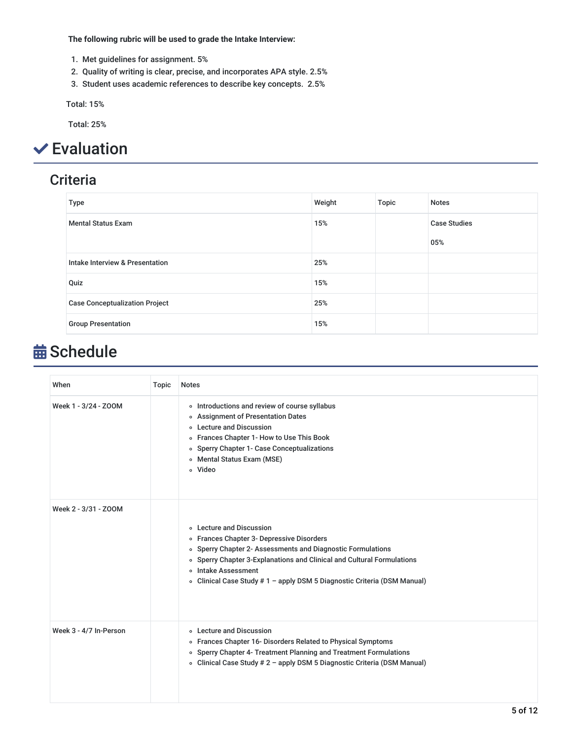**The following rubric will be used to grade the Intake Interview:**

- 1. Met guidelines for assignment. 5%
- 2. Quality of writing is clear, precise, and incorporates APA style. 2.5%
- 3. Student uses academic references to describe key concepts. 2.5%

Total: 15%

Total: 25%

# Evaluation

## **Criteria**

| <b>Type</b>                                | Weight | Topic | <b>Notes</b>        |
|--------------------------------------------|--------|-------|---------------------|
| <b>Mental Status Exam</b>                  | 15%    |       | <b>Case Studies</b> |
|                                            |        |       | 05%                 |
| <b>Intake Interview &amp; Presentation</b> | 25%    |       |                     |
| Quiz                                       | 15%    |       |                     |
| <b>Case Conceptualization Project</b>      | 25%    |       |                     |
| <b>Group Presentation</b>                  | 15%    |       |                     |

# **苗 Schedule**

| When                   | Topic | <b>Notes</b>                                                                                                                                                                                                                                                                                                            |
|------------------------|-------|-------------------------------------------------------------------------------------------------------------------------------------------------------------------------------------------------------------------------------------------------------------------------------------------------------------------------|
| Week 1 - 3/24 - ZOOM   |       | o Introductions and review of course syllabus<br>○ Assignment of Presentation Dates<br>o Lecture and Discussion<br>○ Frances Chapter 1- How to Use This Book<br>• Sperry Chapter 1- Case Conceptualizations<br>○ Mental Status Exam (MSE)<br>o Video                                                                    |
| Week 2 - 3/31 - ZOOM   |       | <b>Execture and Discussion</b><br>○ Frances Chapter 3- Depressive Disorders<br>o Sperry Chapter 2- Assessments and Diagnostic Formulations<br>• Sperry Chapter 3-Explanations and Clinical and Cultural Formulations<br>o Intake Assessment<br>• Clinical Case Study # 1 - apply DSM 5 Diagnostic Criteria (DSM Manual) |
| Week 3 - 4/7 In-Person |       | <b>o</b> Lecture and Discussion<br>○ Frances Chapter 16- Disorders Related to Physical Symptoms<br>• Sperry Chapter 4- Treatment Planning and Treatment Formulations<br>∘ Clinical Case Study # 2 - apply DSM 5 Diagnostic Criteria (DSM Manual)                                                                        |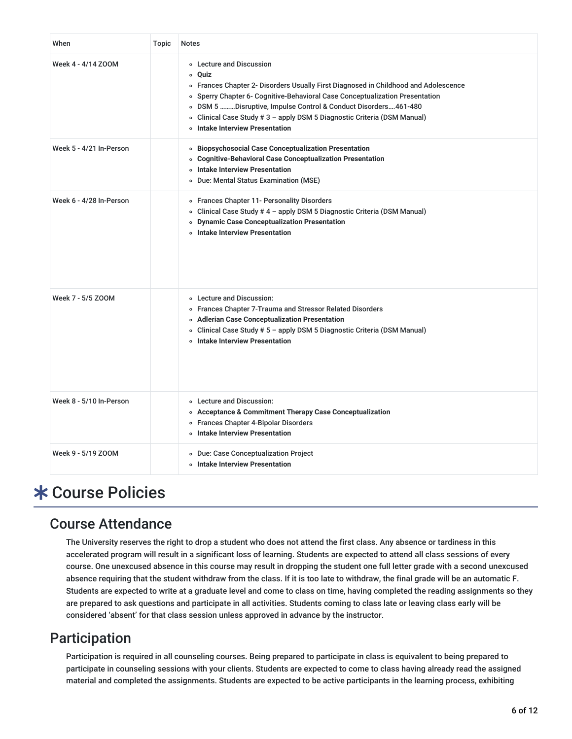| When                    | Topic | <b>Notes</b>                                                                                                                                                                                                                                                                                                                                                                                      |
|-------------------------|-------|---------------------------------------------------------------------------------------------------------------------------------------------------------------------------------------------------------------------------------------------------------------------------------------------------------------------------------------------------------------------------------------------------|
| Week 4 - 4/14 ZOOM      |       | ○ Lecture and Discussion<br>∘ Ouiz<br>o Frances Chapter 2- Disorders Usually First Diagnosed in Childhood and Adolescence<br>○ Sperry Chapter 6- Cognitive-Behavioral Case Conceptualization Presentation<br>o DSM 5 Disruptive, Impulse Control & Conduct Disorders461-480<br>o Clinical Case Study # 3 - apply DSM 5 Diagnostic Criteria (DSM Manual)<br><b>o</b> Intake Interview Presentation |
| Week 5 - 4/21 In-Person |       | <b>o</b> Biopsychosocial Case Conceptualization Presentation<br>○ Cognitive-Behavioral Case Conceptualization Presentation<br><b>o</b> Intake Interview Presentation<br>○ Due: Mental Status Examination (MSE)                                                                                                                                                                                    |
| Week 6 - 4/28 In-Person |       | ○ Frances Chapter 11- Personality Disorders<br>o Clinical Case Study # 4 - apply DSM 5 Diagnostic Criteria (DSM Manual)<br><b>ODynamic Case Conceptualization Presentation</b><br>o Intake Interview Presentation                                                                                                                                                                                 |
| Week 7 - 5/5 ZOOM       |       | ○ Lecture and Discussion:<br>○ Frances Chapter 7-Trauma and Stressor Related Disorders<br>o Adlerian Case Conceptualization Presentation<br>o Clinical Case Study # 5 - apply DSM 5 Diagnostic Criteria (DSM Manual)<br><b>o</b> Intake Interview Presentation                                                                                                                                    |
| Week 8 - 5/10 In-Person |       | ○ Lecture and Discussion:<br>○ Acceptance & Commitment Therapy Case Conceptualization<br>○ Frances Chapter 4-Bipolar Disorders<br><b>o</b> Intake Interview Presentation                                                                                                                                                                                                                          |
| Week 9 - 5/19 ZOOM      |       | · Due: Case Conceptualization Project<br><b>o</b> Intake Interview Presentation                                                                                                                                                                                                                                                                                                                   |

# **\* Course Policies**

### Course Attendance

The University reserves the right to drop a student who does not attend the first class. Any absence or tardiness in this accelerated program will result in a significant loss of learning. Students are expected to attend all class sessions of every course. One unexcused absence in this course may result in dropping the student one full letter grade with a second unexcused absence requiring that the student withdraw from the class. If it is too late to withdraw, the final grade will be an automatic F. Students are expected to write at a graduate level and come to class on time, having completed the reading assignments so they are prepared to ask questions and participate in all activities. Students coming to class late or leaving class early will be considered 'absent' for that class session unless approved in advance by the instructor.

## Participation

Participation is required in all counseling courses. Being prepared to participate in class is equivalent to being prepared to participate in counseling sessions with your clients. Students are expected to come to class having already read the assigned material and completed the assignments. Students are expected to be active participants in the learning process, exhibiting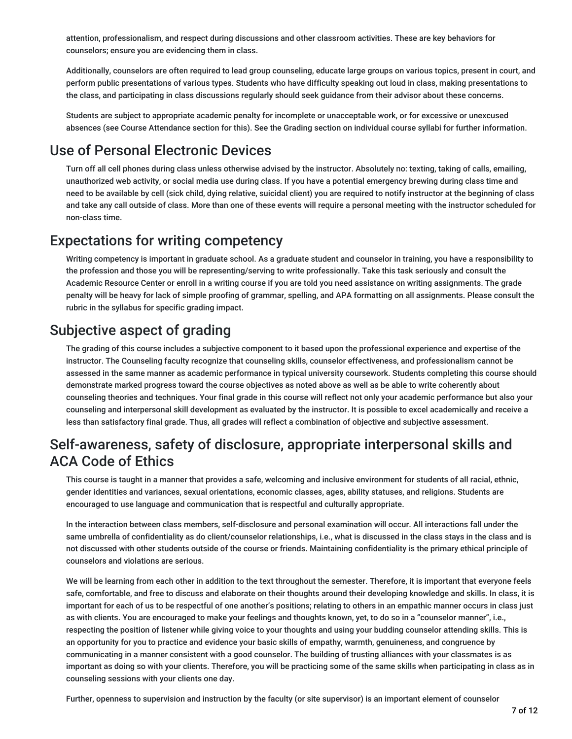attention, professionalism, and respect during discussions and other classroom activities. These are key behaviors for counselors; ensure you are evidencing them in class.

Additionally, counselors are often required to lead group counseling, educate large groups on various topics, present in court, and perform public presentations of various types. Students who have difficulty speaking out loud in class, making presentations to the class, and participating in class discussions regularly should seek guidance from their advisor about these concerns.

Students are subject to appropriate academic penalty for incomplete or unacceptable work, or for excessive or unexcused absences (see Course Attendance section for this). See the Grading section on individual course syllabi for further information.

## Use of Personal Electronic Devices

Turn off all cell phones during class unless otherwise advised by the instructor. Absolutely no: texting, taking of calls, emailing, unauthorized web activity, or social media use during class. If you have a potential emergency brewing during class time and need to be available by cell (sick child, dying relative, suicidal client) you are required to notify instructor at the beginning of class and take any call outside of class. More than one of these events will require a personal meeting with the instructor scheduled for non-class time.

### Expectations for writing competency

Writing competency is important in graduate school. As a graduate student and counselor in training, you have a responsibility to the profession and those you will be representing/serving to write professionally. Take this task seriously and consult the Academic Resource Center or enroll in a writing course if you are told you need assistance on writing assignments. The grade penalty will be heavy for lack of simple proofing of grammar, spelling, and APA formatting on all assignments. Please consult the rubric in the syllabus for specific grading impact.

## Subjective aspect of grading

The grading of this course includes a subjective component to it based upon the professional experience and expertise of the instructor. The Counseling faculty recognize that counseling skills, counselor effectiveness, and professionalism cannot be assessed in the same manner as academic performance in typical university coursework. Students completing this course should demonstrate marked progress toward the course objectives as noted above as well as be able to write coherently about counseling theories and techniques. Your final grade in this course will reflect not only your academic performance but also your counseling and interpersonal skill development as evaluated by the instructor. It is possible to excel academically and receive a less than satisfactory final grade. Thus, all grades will reflect a combination of objective and subjective assessment.

### Self-awareness, safety of disclosure, appropriate interpersonal skills and ACA Code of Ethics

This course is taught in a manner that provides a safe, welcoming and inclusive environment for students of all racial, ethnic, gender identities and variances, sexual orientations, economic classes, ages, ability statuses, and religions. Students are encouraged to use language and communication that is respectful and culturally appropriate.

In the interaction between class members, self-disclosure and personal examination will occur. All interactions fall under the same umbrella of confidentiality as do client/counselor relationships, i.e., what is discussed in the class stays in the class and is not discussed with other students outside of the course or friends. Maintaining confidentiality is the primary ethical principle of counselors and violations are serious.

We will be learning from each other in addition to the text throughout the semester. Therefore, it is important that everyone feels safe, comfortable, and free to discuss and elaborate on their thoughts around their developing knowledge and skills. In class, it is important for each of us to be respectful of one another's positions; relating to others in an empathic manner occurs in class just as with clients. You are encouraged to make your feelings and thoughts known, yet, to do so in a "counselor manner", i.e., respecting the position of listener while giving voice to your thoughts and using your budding counselor attending skills. This is an opportunity for you to practice and evidence your basic skills of empathy, warmth, genuineness, and congruence by communicating in a manner consistent with a good counselor. The building of trusting alliances with your classmates is as important as doing so with your clients. Therefore, you will be practicing some of the same skills when participating in class as in counseling sessions with your clients one day.

Further, openness to supervision and instruction by the faculty (or site supervisor) is an important element of counselor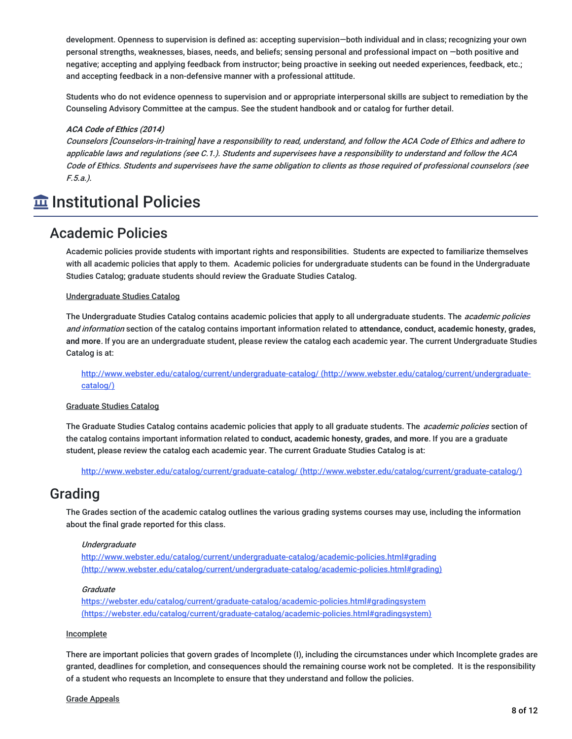development. Openness to supervision is defined as: accepting supervision—both individual and in class; recognizing your own personal strengths, weaknesses, biases, needs, and beliefs; sensing personal and professional impact on —both positive and negative; accepting and applying feedback from instructor; being proactive in seeking out needed experiences, feedback, etc.; and accepting feedback in a non-defensive manner with a professional attitude.

Students who do not evidence openness to supervision and or appropriate interpersonal skills are subject to remediation by the Counseling Advisory Committee at the campus. See the student handbook and or catalog for further detail.

#### **ACA Code of Ethics (2014)**

Counselors [Counselors-in-training] have <sup>a</sup> responsibility to read, understand, and follow the ACA Code of Ethics and adhere to applicable laws and regulations (see C.1.). Students and supervisees have <sup>a</sup> responsibility to understand and follow the ACA Code of Ethics. Students and supervisees have the same obligation to clients as those required of professional counselors (see F.5.a.).

## **Imergenal Policies**

### Academic Policies

Academic policies provide students with important rights and responsibilities. Students are expected to familiarize themselves with all academic policies that apply to them. Academic policies for undergraduate students can be found in the Undergraduate Studies Catalog; graduate students should review the Graduate Studies Catalog.

#### Undergraduate Studies Catalog

The Undergraduate Studies Catalog contains academic policies that apply to all undergraduate students. The *academic policies* and information section of the catalog contains important information related to **attendance, conduct, academic honesty, grades, and more**. If you are an undergraduate student, please review the catalog each academic year. The current Undergraduate Studies Catalog is at:

<http://www.webster.edu/catalog/current/undergraduate-catalog/> (http://www.webster.edu/catalog/current/undergraduatecatalog/)

#### Graduate Studies Catalog

The Graduate Studies Catalog contains academic policies that apply to all graduate students. The *academic policies* section of the catalog contains important information related to **conduct, academic honesty, grades, and more**. If you are a graduate student, please review the catalog each academic year. The current Graduate Studies Catalog is at:

http://www.webster.edu/catalog/current/graduate-catalog/ [\(http://www.webster.edu/catalog/current/graduate-catalog/\)](http://www.webster.edu/catalog/current/graduate-catalog/)

### Grading

The Grades section of the academic catalog outlines the various grading systems courses may use, including the information about the final grade reported for this class.

#### **Undergraduate**

http://www.webster.edu/catalog/current/undergraduate-catalog/academic-policies.html#grading [\(http://www.webster.edu/catalog/current/undergraduate-catalog/academic-policies.html#grading\)](http://www.webster.edu/catalog/current/undergraduate-catalog/academic-policies.html#grading)

#### **Graduate**

<https://webster.edu/catalog/current/graduate-catalog/academic-policies.html#gradingsystem> (https://webster.edu/catalog/current/graduate-catalog/academic-policies.html#gradingsystem)

#### Incomplete

There are important policies that govern grades of Incomplete (I), including the circumstances under which Incomplete grades are granted, deadlines for completion, and consequences should the remaining course work not be completed. It is the responsibility of a student who requests an Incomplete to ensure that they understand and follow the policies.

#### Grade Appeals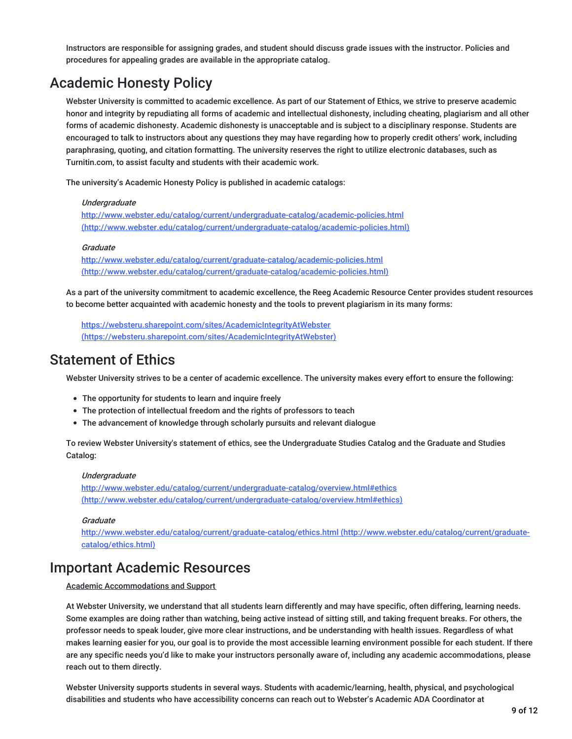Instructors are responsible for assigning grades, and student should discuss grade issues with the instructor. Policies and procedures for appealing grades are available in the appropriate catalog.

## Academic Honesty Policy

Webster University is committed to academic excellence. As part of our Statement of Ethics, we strive to preserve academic honor and integrity by repudiating all forms of academic and intellectual dishonesty, including cheating, plagiarism and all other forms of academic dishonesty. Academic dishonesty is unacceptable and is subject to a disciplinary response. Students are encouraged to talk to instructors about any questions they may have regarding how to properly credit others' work, including paraphrasing, quoting, and citation formatting. The university reserves the right to utilize electronic databases, such as Turnitin.com, to assist faculty and students with their academic work.

The university's Academic Honesty Policy is published in academic catalogs:

#### **Undergraduate**

<http://www.webster.edu/catalog/current/undergraduate-catalog/academic-policies.html> (http://www.webster.edu/catalog/current/undergraduate-catalog/academic-policies.html)

#### Graduate

<http://www.webster.edu/catalog/current/graduate-catalog/academic-policies.html> (http://www.webster.edu/catalog/current/graduate-catalog/academic-policies.html)

As a part of the university commitment to academic excellence, the Reeg Academic Resource Center provides student resources to become better acquainted with academic honesty and the tools to prevent plagiarism in its many forms:

https://websteru.sharepoint.com/sites/AcademicIntegrityAtWebster [\(https://websteru.sharepoint.com/sites/AcademicIntegrityAtWebster\)](https://websteru.sharepoint.com/sites/AcademicIntegrityAtWebster)

### Statement of Ethics

Webster University strives to be a center of academic excellence. The university makes every effort to ensure the following:

- The opportunity for students to learn and inquire freely
- The protection of intellectual freedom and the rights of professors to teach
- The advancement of knowledge through scholarly pursuits and relevant dialogue

To review Webster University's statement of ethics, see the Undergraduate Studies Catalog and the Graduate and Studies Catalog:

#### **Underaraduate**

http://www.webster.edu/catalog/current/undergraduate-catalog/overview.html#ethics [\(http://www.webster.edu/catalog/current/undergraduate-catalog/overview.html#ethics\)](http://www.webster.edu/catalog/current/undergraduate-catalog/overview.html#ethics)

#### **Graduate**

<http://www.webster.edu/catalog/current/graduate-catalog/ethics.html> (http://www.webster.edu/catalog/current/graduatecatalog/ethics.html)

### Important Academic Resources

#### Academic Accommodations and Support

At Webster University, we understand that all students learn differently and may have specific, often differing, learning needs. Some examples are doing rather than watching, being active instead of sitting still, and taking frequent breaks. For others, the professor needs to speak louder, give more clear instructions, and be understanding with health issues. Regardless of what makes learning easier for you, our goal is to provide the most accessible learning environment possible for each student. If there are any specific needs you'd like to make your instructors personally aware of, including any academic accommodations, please reach out to them directly.

Webster University supports students in several ways. Students with academic/learning, health, physical, and psychological disabilities and students who have accessibility concerns can reach out to Webster's Academic ADA Coordinator at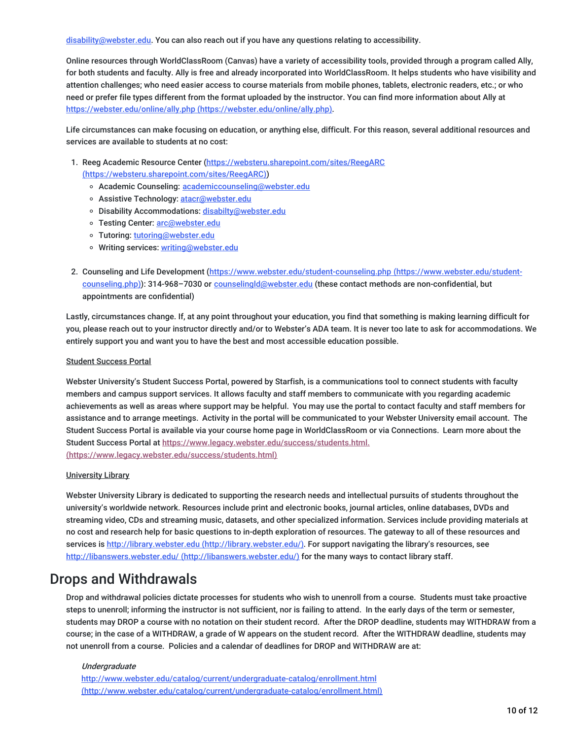[disability@webster.edu](mailto:disability@webster.edu). You can also reach out if you have any questions relating to accessibility.

Online resources through WorldClassRoom (Canvas) have a variety of accessibility tools, provided through a program called Ally, for both students and faculty. Ally is free and already incorporated into WorldClassRoom. It helps students who have visibility and attention challenges; who need easier access to course materials from mobile phones, tablets, electronic readers, etc.; or who need or prefer file types different from the format uploaded by the instructor. You can find more information about Ally at https://webster.edu/online/ally.php [\(https://webster.edu/online/ally.php\)](https://webster.edu/online/ally.php).

Life circumstances can make focusing on education, or anything else, difficult. For this reason, several additional resources and services are available to students at no cost:

- 1. Reeg Academic Resource Center (https://websteru.sharepoint.com/sites/ReegARC [\(https://websteru.sharepoint.com/sites/ReegARC\)\)](https://websteru.sharepoint.com/sites/ReegARC)
	- o Academic Counseling: [academiccounseling@webster.edu](mailto:academiccounseling@webster.edu)
	- o Assistive Technology: [atacr@webster.edu](mailto:atacr@webster.edu)
	- o Disability Accommodations: [disabilty@webster.edu](mailto:disabilty@webster.edu)
	- o Testing Center: [arc@webster.edu](mailto:arc@webster.edu)
	- o Tutoring: [tutoring@webster.edu](mailto:tutoring@webster.edu)
	- o Writing services: [writing@webster.edu](mailto:writing@webster.edu)
- 2. Counseling and Life Development [\(https://www.webster.edu/student-counseling.php](https://www.webster.edu/student-counseling.php) (https://www.webster.edu/studentcounseling.php)): 314-968-7030 or [counselingld@webster.edu](mailto:counselingld@webster.edu) (these contact methods are non-confidential, but appointments are confidential)

Lastly, circumstances change. If, at any point throughout your education, you find that something is making learning difficult for you, please reach out to your instructor directly and/or to Webster's ADA team. It is never too late to ask for accommodations. We entirely support you and want you to have the best and most accessible education possible.

#### Student Success Portal

Webster University's Student Success Portal, powered by Starfish, is a communications tool to connect students with faculty members and campus support services. It allows faculty and staff members to communicate with you regarding academic achievements as well as areas where support may be helpful. You may use the portal to contact faculty and staff members for assistance and to arrange meetings. Activity in the portal will be communicated to your Webster University email account. The Student Success Portal is available via your course home page in WorldClassRoom or via Connections. Learn more about the Student Success Portal at [https://www.legacy.webster.edu/success/students.html.](https://www.legacy.webster.edu/success/students.html) (https://www.legacy.webster.edu/success/students.html)

#### University Library

Webster University Library is dedicated to supporting the research needs and intellectual pursuits of students throughout the university's worldwide network. Resources include print and electronic books, journal articles, online databases, DVDs and streaming video, CDs and streaming music, datasets, and other specialized information. Services include providing materials at no cost and research help for basic questions to in-depth exploration of resources. The gateway to all of these resources and services is http://library.webster.edu [\(http://library.webster.edu/\)](http://library.webster.edu/). For support navigating the library's resources, see http://libanswers.webster.edu/ [\(http://libanswers.webster.edu/\)](http://libanswers.webster.edu/) for the many ways to contact library staff.

### Drops and Withdrawals

Drop and withdrawal policies dictate processes for students who wish to unenroll from a course. Students must take proactive steps to unenroll; informing the instructor is not sufficient, nor is failing to attend. In the early days of the term or semester, students may DROP a course with no notation on their student record. After the DROP deadline, students may WITHDRAW from a course; in the case of a WITHDRAW, a grade of W appears on the student record. After the WITHDRAW deadline, students may not unenroll from a course. Policies and a calendar of deadlines for DROP and WITHDRAW are at:

#### Undergraduate

http://www.webster.edu/catalog/current/undergraduate-catalog/enrollment.html [\(http://www.webster.edu/catalog/current/undergraduate-catalog/enrollment.html\)](http://www.webster.edu/catalog/current/undergraduate-catalog/enrollment.html)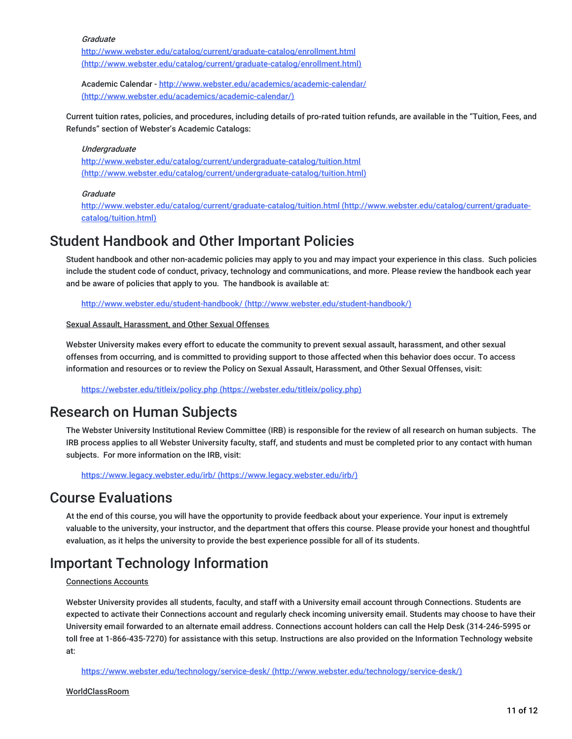#### **Graduate**

<http://www.webster.edu/catalog/current/graduate-catalog/enrollment.html> (http://www.webster.edu/catalog/current/graduate-catalog/enrollment.html)

Academic Calendar - http://www.webster.edu/academics/academic-calendar/ [\(http://www.webster.edu/academics/academic-calendar/\)](http://www.webster.edu/academics/academic-calendar/)

Current tuition rates, policies, and procedures, including details of pro-rated tuition refunds, are available in the "Tuition, Fees, and Refunds" section of Webster's Academic Catalogs:

#### Undergraduate

<http://www.webster.edu/catalog/current/undergraduate-catalog/tuition.html> (http://www.webster.edu/catalog/current/undergraduate-catalog/tuition.html)

#### Graduate

<http://www.webster.edu/catalog/current/graduate-catalog/tuition.html> (http://www.webster.edu/catalog/current/graduatecatalog/tuition.html)

### Student Handbook and Other Important Policies

Student handbook and other non-academic policies may apply to you and may impact your experience in this class. Such policies include the student code of conduct, privacy, technology and communications, and more. Please review the handbook each year and be aware of policies that apply to you. The handbook is available at:

http://www.webster.edu/student-handbook/ [\(http://www.webster.edu/student-handbook/\)](http://www.webster.edu/student-handbook/)

#### Sexual Assault, Harassment, and Other Sexual Offenses

Webster University makes every effort to educate the community to prevent sexual assault, harassment, and other sexual offenses from occurring, and is committed to providing support to those affected when this behavior does occur. To access information and resources or to review the Policy on Sexual Assault, Harassment, and Other Sexual Offenses, visit:

https://webster.edu/titleix/policy.php [\(https://webster.edu/titleix/policy.php\)](https://webster.edu/titleix/policy.php)

### Research on Human Subjects

The Webster University Institutional Review Committee (IRB) is responsible for the review of all research on human subjects. The IRB process applies to all Webster University faculty, staff, and students and must be completed prior to any contact with human subjects. For more information on the IRB, visit:

https://www.legacy.webster.edu/irb/ [\(https://www.legacy.webster.edu/irb/\)](https://www.legacy.webster.edu/irb/)

### Course Evaluations

At the end of this course, you will have the opportunity to provide feedback about your experience. Your input is extremely valuable to the university, your instructor, and the department that offers this course. Please provide your honest and thoughtful evaluation, as it helps the university to provide the best experience possible for all of its students.

### Important Technology Information

#### Connections Accounts

Webster University provides all students, faculty, and staff with a University email account through Connections. Students are expected to activate their Connections account and regularly check incoming university email. Students may choose to have their University email forwarded to an alternate email address. Connections account holders can call the Help Desk (314-246-5995 or toll free at 1-866-435-7270) for assistance with this setup. Instructions are also provided on the Information Technology website at:

https://www.webster.edu/technology/service-desk/ [\(http://www.webster.edu/technology/service-desk/\)](http://www.webster.edu/technology/service-desk/)

WorldClassRoom